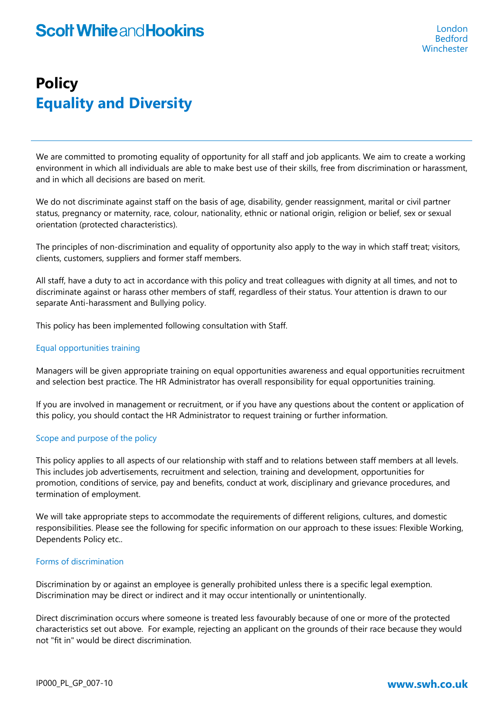# **Policy Equality and Diversity**

We are committed to promoting equality of opportunity for all staff and job applicants. We aim to create a working environment in which all individuals are able to make best use of their skills, free from discrimination or harassment, and in which all decisions are based on merit.

We do not discriminate against staff on the basis of age, disability, gender reassignment, marital or civil partner status, pregnancy or maternity, race, colour, nationality, ethnic or national origin, religion or belief, sex or sexual orientation (protected characteristics).

The principles of non-discrimination and equality of opportunity also apply to the way in which staff treat; visitors, clients, customers, suppliers and former staff members.

All staff, have a duty to act in accordance with this policy and treat colleagues with dignity at all times, and not to discriminate against or harass other members of staff, regardless of their status. Your attention is drawn to our separate Anti-harassment and Bullying policy.

This policy has been implemented following consultation with Staff.

## Equal opportunities training

Managers will be given appropriate training on equal opportunities awareness and equal opportunities recruitment and selection best practice. The HR Administrator has overall responsibility for equal opportunities training.

If you are involved in management or recruitment, or if you have any questions about the content or application of this policy, you should contact the HR Administrator to request training or further information.

## Scope and purpose of the policy

This policy applies to all aspects of our relationship with staff and to relations between staff members at all levels. This includes job advertisements, recruitment and selection, training and development, opportunities for promotion, conditions of service, pay and benefits, conduct at work, disciplinary and grievance procedures, and termination of employment.

We will take appropriate steps to accommodate the requirements of different religions, cultures, and domestic responsibilities. Please see the following for specific information on our approach to these issues: Flexible Working, Dependents Policy etc..

## Forms of discrimination

Discrimination by or against an employee is generally prohibited unless there is a specific legal exemption. Discrimination may be direct or indirect and it may occur intentionally or unintentionally.

Direct discrimination occurs where someone is treated less favourably because of one or more of the protected characteristics set out above. For example, rejecting an applicant on the grounds of their race because they would not "fit in" would be direct discrimination.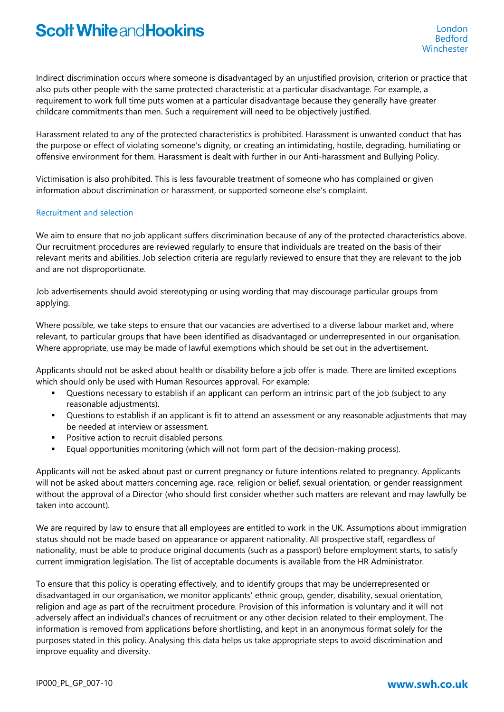Indirect discrimination occurs where someone is disadvantaged by an unjustified provision, criterion or practice that also puts other people with the same protected characteristic at a particular disadvantage. For example, a requirement to work full time puts women at a particular disadvantage because they generally have greater childcare commitments than men. Such a requirement will need to be objectively justified.

Harassment related to any of the protected characteristics is prohibited. Harassment is unwanted conduct that has the purpose or effect of violating someone's dignity, or creating an intimidating, hostile, degrading, humiliating or offensive environment for them. Harassment is dealt with further in our Anti-harassment and Bullying Policy.

Victimisation is also prohibited. This is less favourable treatment of someone who has complained or given information about discrimination or harassment, or supported someone else's complaint.

#### Recruitment and selection

We aim to ensure that no job applicant suffers discrimination because of any of the protected characteristics above. Our recruitment procedures are reviewed regularly to ensure that individuals are treated on the basis of their relevant merits and abilities. Job selection criteria are regularly reviewed to ensure that they are relevant to the job and are not disproportionate.

Job advertisements should avoid stereotyping or using wording that may discourage particular groups from applying.

Where possible, we take steps to ensure that our vacancies are advertised to a diverse labour market and, where relevant, to particular groups that have been identified as disadvantaged or underrepresented in our organisation. Where appropriate, use may be made of lawful exemptions which should be set out in the advertisement.

Applicants should not be asked about health or disability before a job offer is made. There are limited exceptions which should only be used with Human Resources approval. For example:

- Questions necessary to establish if an applicant can perform an intrinsic part of the job (subject to any reasonable adjustments).
- Questions to establish if an applicant is fit to attend an assessment or any reasonable adjustments that may be needed at interview or assessment.
- **Positive action to recruit disabled persons.**
- Equal opportunities monitoring (which will not form part of the decision-making process).

Applicants will not be asked about past or current pregnancy or future intentions related to pregnancy. Applicants will not be asked about matters concerning age, race, religion or belief, sexual orientation, or gender reassignment without the approval of a Director (who should first consider whether such matters are relevant and may lawfully be taken into account).

We are required by law to ensure that all employees are entitled to work in the UK. Assumptions about immigration status should not be made based on appearance or apparent nationality. All prospective staff, regardless of nationality, must be able to produce original documents (such as a passport) before employment starts, to satisfy current immigration legislation. The list of acceptable documents is available from the HR Administrator.

To ensure that this policy is operating effectively, and to identify groups that may be underrepresented or disadvantaged in our organisation, we monitor applicants' ethnic group, gender, disability, sexual orientation, religion and age as part of the recruitment procedure. Provision of this information is voluntary and it will not adversely affect an individual's chances of recruitment or any other decision related to their employment. The information is removed from applications before shortlisting, and kept in an anonymous format solely for the purposes stated in this policy. Analysing this data helps us take appropriate steps to avoid discrimination and improve equality and diversity.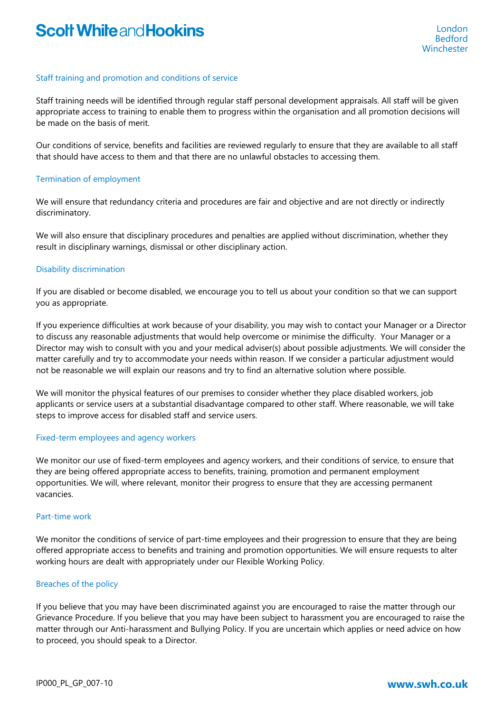## Staff training and promotion and conditions of service

Staff training needs will be identified through regular staff personal development appraisals. All staff will be given appropriate access to training to enable them to progress within the organisation and all promotion decisions will be made on the basis of merit.

Our conditions of service, benefits and facilities are reviewed regularly to ensure that they are available to all staff that should have access to them and that there are no unlawful obstacles to accessing them.

## Termination of employment

We will ensure that redundancy criteria and procedures are fair and objective and are not directly or indirectly discriminatory.

We will also ensure that disciplinary procedures and penalties are applied without discrimination, whether they result in disciplinary warnings, dismissal or other disciplinary action.

#### Disability discrimination

If you are disabled or become disabled, we encourage you to tell us about your condition so that we can support you as appropriate.

If you experience difficulties at work because of your disability, you may wish to contact your Manager or a Director to discuss any reasonable adjustments that would help overcome or minimise the difficulty. Your Manager or a Director may wish to consult with you and your medical adviser(s) about possible adjustments. We will consider the matter carefully and try to accommodate your needs within reason. If we consider a particular adjustment would not be reasonable we will explain our reasons and try to find an alternative solution where possible.

We will monitor the physical features of our premises to consider whether they place disabled workers, job applicants or service users at a substantial disadvantage compared to other staff. Where reasonable, we will take steps to improve access for disabled staff and service users.

#### Fixed-term employees and agency workers

We monitor our use of fixed-term employees and agency workers, and their conditions of service, to ensure that they are being offered appropriate access to benefits, training, promotion and permanent employment opportunities. We will, where relevant, monitor their progress to ensure that they are accessing permanent vacancies.

#### Part-time work

We monitor the conditions of service of part-time employees and their progression to ensure that they are being offered appropriate access to benefits and training and promotion opportunities. We will ensure requests to alter working hours are dealt with appropriately under our Flexible Working Policy.

## Breaches of the policy

If you believe that you may have been discriminated against you are encouraged to raise the matter through our Grievance Procedure. If you believe that you may have been subject to harassment you are encouraged to raise the matter through our Anti-harassment and Bullying Policy. If you are uncertain which applies or need advice on how to proceed, you should speak to a Director.